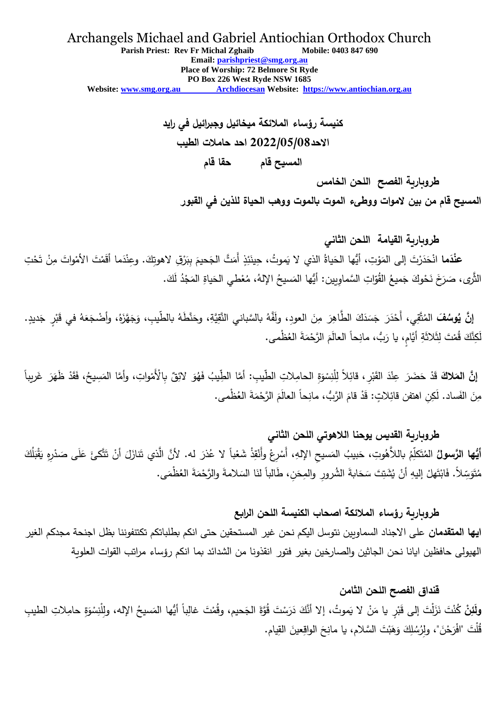#### Archangels Michael and Gabriel Antiochian Orthodox Church **Parish Priest: Rev Fr Michal Zghaib Mobile: 0403 847 690 Email: [parishpriest@smg.org.au](about:blank) Place of Worship: 72 Belmore St Ryde PO Box 226 West Ryde NSW 1685 Website: www.smg.org.au Archdiocesan Website: [https://www.antiochian.org.au](about:blank)**

**كنيسة رؤساء المالئكة ميخائيل وجبرائيل في رايد االحد2022/05/08 احد حامالت الطيب المسيح قام حقا قام طروبارية الفصح اللحن الخامس**

**المسيح قام من بين الموات ووطىء الموت بالموت ووهب الحياة للذين في القبور**

# **طروبارية القيامة اللحن الثاني**

**عنْدَما** انْحَدَرْتَ إلى المَوْتِ، أيُّها الحَياةُ الذي لا يَموتُ، حِينَئِذٍ أَمَتَّ الجَحيمَ بِبَرْقِ لاهوتِكَ. وعِنْدَما أقَمْتَ الأمْواتَ مِنْ تَحْتِ **َ** ۱, َ <u>ٔ</u> َ **ٔ** .<br>-ا<br>ا <u>ا</u> ٔ الثَّرَى، صَرَخَ نَحْوكَ جَميعُ القُوّاتِ السَّماوِيين: أيُّها المَسيحُ الإِلهُ، مُعْطي الحَياةِ المَجْدُ لَكَ. ٔ **:** َ **ٔ** ً<br>ً

إِنَّ يُوسُفَ المُتَّقِي، أَحْدَرَ جَسَدَكَ الطَّاهِرَ مِنَ العودِ، ولَفَّهُ بالسَّباني النَّقِيَّةِ، وحَنَّطَهُ بالطّيبِ، وَجَهَّزَهُ، وأضْجَعَهُ في قَبْرٍ جَديدٍ. َ َ َ َ ْ ֺ֧<sup>ֺ</sup> .<br>. َ َ لَكِنَّكَ قُمْتَ لِثَلاثَةِ أَيَّامٍ، يا رَبُّ، مانِحاً العالَمَ الرَّحْمَةَ العُظْمى. ْ ٍ<br>نا

إنَّ العَلاكَ قَدْ حَضَرَ عِنْدَ القَبْرِ ، قائِلاً لِلْنِسْوَةِ الحامِلاتِ الطِّيبِ: أمَّا الطِّيبُ فَهُوَ لائِقٌ بِالْأَمْواتِ، وأمَّا الصَسِيحُ، فَقَدْ ظَهَرَ غَريباً **َ** َ ْ َ ْ **ٔ** ْ  $\triangleleft$ .<br>-<br>-مِنَ الفَساد. لَكِنِ اهتفن قائِلاتٍ: قَدْ قامَ الرَّبُّ، مانِحاً العالَمَ الرَّحْمَةَ العُظْمى. ْ .<br>-.<br>-

## **طروبارية القديس يوحنا الالهوتي اللحن الثاني**

أ**يُّها الرَّسولُ** المُتَكلِّمُ باللاَّهُوتِ، حَبيبُ المَسيحِ الإلهِ، أَسْرِعْ وأَنْقِذْ شَعْباً لا عُذرَ له. لأنَّ الَّذي تَنازَلَ أنْ تَتَّكئَ عَلَى صَدْرِهِ يَقْبَلُكَ <u>ة</u> اً<br>ا .<br>- $\overline{a}$ اً<br>ا .<br>ا ْ ْ ْ َ َ <u>َ</u> .<br>-<br>-َ َ ْ مُتَوَسِّلاً. فَابْتَهلْ إليهِ أَنْ يُشَتِتَ سَحَابةَ الشُرورِ والمِحَنِ، طَالباً لنَا السَلامةَ والرَّحْمَةَ العُظْمَى. .<br>-ْ ْ َ َ َ َ

### **طروبارية رؤساء المالئكة اصحاب الكنيسة اللحن الرابع**

**ايها المتقدمان** على االجناد السماويين نتوسل اليكم نحن غير المستحقين حتى انكم بطلباتكم تكتنفوننا بظل اجنحة مجدكم الغير الهيولى حافظين ايانا نحن الجاثين والصارخين بغير فتور انقذونا من الشدائد بما انكم رؤساء مراتب القوات العلوية

### **قنداق الفصح اللحن الثامن**

و**لَئِنْ** كُنْتَ نَزَلْتَ إلى قَبْرٍ يا مَنْ لا يَموتُ، إلا أنَّكَ دَرَسْتَ قُوَّةَ الجَحيم، وقُمْتَ غالِباً أيُّها المَسيحُ الإله، ولِلْنِسْوَةِ حامِلاتِ الطيبِ<br>. َ **ا** ْل َ َ ْ قُلْتَ "افْرَحْنَ"، ولِرُسُلِكَ وَهَبْتَ السَّلام، يا مانِحَ الواقِعينَ القِيام.  $\ddot{\phantom{0}}$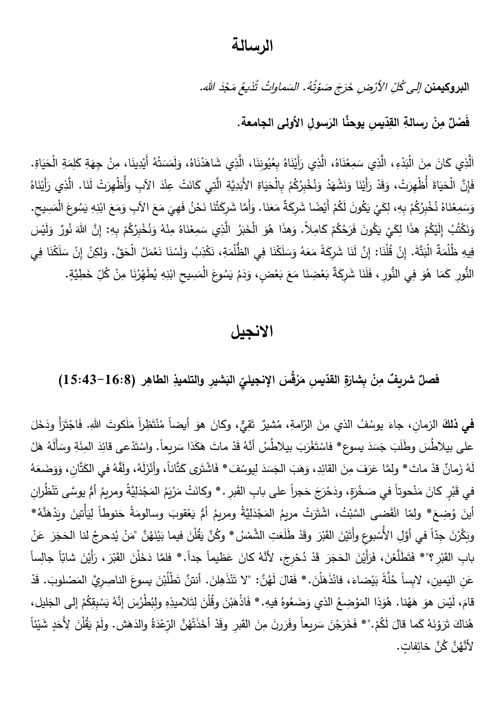## **الرسالة**

ا**لبروكيمنن** *إلى كُلِّ الأرْضِ خَرَجَ صَوْتُهُ.* الِي كُلِّ الأَرْضِ خَرَجَ صَوْتُهُ. السَماواتُ تُذيعُ مَجْدَ الله. مَجْذَ السَماواتُ تُذيعُ

**َسو ِل األولى الجامعة ي ِس يوحَّنا الر ّ د القِ ْن رسالةِ مِ ٌ ْصل َف .**

اَلَّذِي كَانَ مِنَ الْبَدْءِ، الَّذِي سَمِعْنَاهُ، الَّذِي رَأَيْنَاهُ بِعُيُونِنَا، الَّذِي شَاهَدْنَاهُ، وَلَمَسَتْهُ أَيْدِينَا، مِنْ جِهَةِ كَلِمَةِ الْحَيَاةِ.<br>اللَّذِي كَانَ مِنَ الْبَدْءِ، الَّذِي سَمِعْنَاهُ، الَّ َ َ **ــ** <u>ٰ</u> َ ْ ـد<br>ا  $\ddot{\phantom{0}}$  $\overline{a}$ ٔ. َ َ َ  $\epsilon$ .<br>-َ ْ َ ً<br>ً َ َ .<br>-<br>-ى<br>ئا فَإِنَّ الْحَيَاةَ أُظْهِرَتْ، وَقَدْ رَأَيْنَا وَنَشْهَدُ وَنُخْبِرُكُمْ بِالْحَيَاةِ الأَبَدِيَّةِ الَّتِي كَانَتْ عِنْدَ الآبِ وَأُظْهِرَتْ لَذَا. الَّذِي رَأَيْنَاهُ .<br>ا <u>ا</u><br>ا َ َ .<br>ا َ ْ <u>ُ</u>  $\triangleleft$ َ َ **ٔ** <u>ا</u> َ ا<br>ا ْ .<br>م َ َ وَسَمِعْنَاهُ نُخْبِرُكُمْ بِهِ، لِكَيْ يَكُونَ لَكُمْ أَيْضًا شَرِكَةٌ مَعَنَا. وَأَمَّا شَرِكَتُنَا نَحْنُ فَهِيَ مَعَ الآبِ وَمَعَ ابْنِهِ يَسُوعَ الْمَسِيحِ. **ٔ** ْ  $\zeta$ َ َ  $\zeta$ َ .<br>. َ َ َ َ َ َ َ ْ ا<br>ا ا<br>ا .<br>. ْ َ َ وَنَكْتُبُ إِلَيْكُمْ هذَا لِكَيْ يَكُونَ فَرَحُكُمْ كَامِلاً. وَهذَا هُوَ الْخَبَرُ الَّذِي سَمِعْنَاهُ مِنْهُ وَنُخْبِرُكُمْ بِهِ: إِنَّ اللهَ نُورٌ وَلَيْسَ َ ْ .<br>ا .<br>ا .<br>. ْ **ٔ** اب<br>ا ْ َ ۱. َ َ َ َ َ ْ َ فِيهِ ظُلْمَةٌ الْبَتَّةَ. إِنْ قُلْنَا: إِنَّ لَنَا شَرِكَةً مَعَهُ وَسَلَكْنَا فِي الظُلْمَةِ، نَكْذِبُ وَلَسْنَا نَعْمَلُ الْحَقَّ. وَلَكِنْ إِنْ سَلَكْنَا فِي َ ْ ا<br>ا ْ َ َ َ َ َ َ َ َ َ .<br>-َ ا<br>ا ً<br>ب <u>ّ</u> َ َ النُّورِ كَمَا هُوَ فِي النُّورِ ، فَلَنَا شَرِكَةٌ بَعْضِنَا مَعَ بَعْضٍ، وَدَمُ يَسُوعَ الْمَسِيحِ ابْذِهِ يُطَهِّرُنَا مِنْ كُلِّ خَطِيَّةٍ. َ َ َ ْ َ َ َ <u>ُ</u> ْ ؘ<br>أ  $\zeta$ َ َ **ٔ :** 

# **االنجيل**

#### فصلٌ شريفٌ مِنْ بِشارَةِ القدّيسِ مَرْقُسَ الإنجيليِّ البَشيرِ والتلميذِ الطاهِر (16:8–15:43) **ْ َ َ**

ف**ي ذلكَ** الزمانِ، جاءَ يوسُفُ الذي مِنَ الرّامةِ، مُشيرٌ تَقِيٍّ، وكانَ هوَ أيضاً مُنْتَظِراً مَلَكوتَ اللهِ. فَاجْتَرَأَ ودَخَلَ<br>. **ٔ** ْ َ <u>َ</u> َ على بيلاطُسَ وطَلَبَ جَسَدَ يسوع\* فاسْتَغْرَبَ بيلاطُسُ أنَّهُ قَدْ ماتَ هَكَذا سَريعاً. واسْتَدْعى قائِدَ المِئَةِ وسَأَلَهُ هَلْ .<br>ا ـد<br>ا ْ **ٔ** ْ لَهُ زَمانٌ قدْ ماتَ \* ولمَّا عَرَفَ مِنَ القائِدِ، وَهَبَ الجَسَدَ لِيوسُفَ\* فَاشْتَرى كَتَّاناً، وأَنْزَلَهُ، ولَفَّهُ في الكَتَّانِ، وَوَضَعَهُ َ .<br>أ ا<br>ا **ـ** َ .<br>ا في قَبْرٍ كانَ مَنْحوتاً في صَخْرَةٍ، ودَحْرَجَ حَجراً على بابِ القَبرِ . \* وكانَتْ مَرْيَمُ المَجْدَلِيَّةُ ومريمُ أمُّ يوسَّى تَنْظُرانِ **ا** .<br>ا **ٔ** َ ۔<br>ا .<br>ا َ .<br>م <u>ٰ</u> َ َ ِّبَّ<br>ا ֡֡<u>֡</u> أينَ وُضِعَ\* ولمّا انْقَضِى السَّبْتُ، اشْتَرَتْ مريمُ المَجْدَلِيَّةُ ومريمُ أمُّ يَعْقوبَ وسالومَةُ حَنوطاً لِيَأْتينَ ويَدْهَنَّهُ\* ــا<br>أ ٔ, َ َ **:** ْ ׇ֦֓֡֓֕<u>֖</u> َ **ٔ** َ <u>َ</u> ى<br>ئ وبَكَّرْنَ جِدَّاً في أَوَّلِ الأُسْبوعِ وأَتَيْنَ القَبْرَ وقَدْ طَلَعَتِ الشَّمْسُ\* وكُنَّ يَقُلْنَ فيما بَيْنَهُنَّ "مَنْ يُدحرجُ لنا الحَجَرَ عَنْ .<br>-َ **ٔ** . ِّبُّ <u>َبِ</u> َ ْ **ـ** ِ<br>ک <u>َ</u>  $\frac{1}{2}$ ْ **ٔ ٔ** .<br>ا بابِ القَبْرِ ؟"\* فَتَطَلَّعْنَ، فَرَأَيْنَ الحَجَرَ قَدْ دُحْرِجَ، لأَنَّهُ كانَ عَظيماً جداً.\* فلمَّا دَخَلْنَ القَبْرَ، رَأَيْنَ شابّاً جالِساً  $\zeta$ <u>ٔ</u> .<br>-<br>-.<br>ا **∶** :<br>ا <u>ٰ</u> .<br>ا ا<br>با .<br>م .<br>ا .<br>م .<br>ا <u>ا</u> عَنِ اليَمينِ، لابِساً خُلَّةً بَيْضاءَ، فانْذَهَلْنَ. \* فَقالَ لَهُنَّ: "لا تَنْذَهِلنَ. أنتنَّ تَطْلُبْنَ يسوعَ الناصِرِيَّ المَصْلوبَ. قَدْ <sup>ع</sup> <u>َ</u> ا<br>ا <u>َ</u> اً<br>ا  $\overline{\phantom{0}}$ .<br>ا <sup>کا</sup> َ ا<br>ا .<br>-<br>-**ٔ** قامَ، لَيْسَ هوَ هَهُنا. هُوَذا المَوْضِعُ الذي وَضَعُوهُ فيهِ. \* فَاذْهَبْنَ وقُلْنَ لِتَلاميذِهِ ولِبُطْرُسَ إنَّهُ يَسْبِقِكُمْ إلى الجَليل، ى<br>ا َ <u>ٔ</u> َ َ َ َ ْ ْ ْ هُناكَ تَرَوْنَهُ كَما قالَ لَكُمْ."\* فَخَرَجْنَ سَريِعاً وفَرَرنَ مِنَ القَبرِ وقَدْ أَخَذَتْهُنَّ الرِّعْدَةُ والدَهَش. ولَمْ يَقُلْنَ لِأَحَدٍ شَيْئاً ْ .<br>-<br>-.<br>م <u>َ</u> **ـ** ـد<br>ا ْ  $\zeta$ <u>ٔ</u> ْ لأَنَّهُنَّ كُنَّ خائِفاتٍ.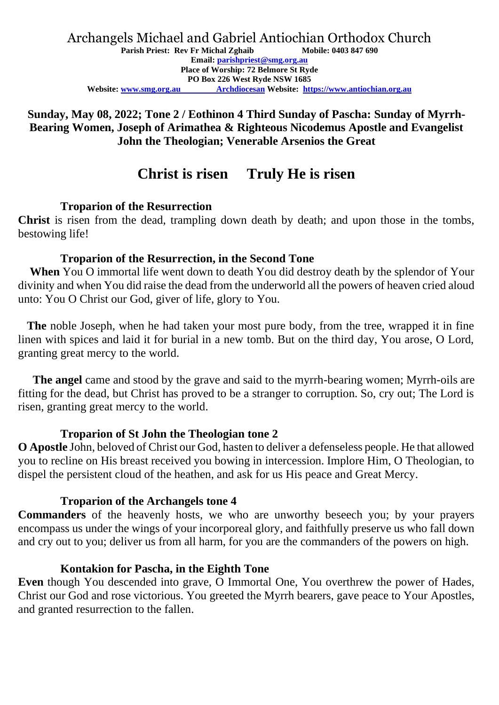#### **Sunday, May 08, 2022; Tone 2 / Eothinon 4 Third Sunday of Pascha: Sunday of Myrrh-Bearing Women, Joseph of Arimathea & Righteous Nicodemus Apostle and Evangelist John the Theologian; Venerable Arsenios the Great**

## **Christ is risen Truly He is risen**

### **Troparion of the Resurrection**

**Christ** is risen from the dead, trampling down death by death; and upon those in the tombs, bestowing life!

### **Troparion of the Resurrection, in the Second Tone**

 **When** You O immortal life went down to death You did destroy death by the splendor of Your divinity and when You did raise the dead from the underworld all the powers of heaven cried aloud unto: You O Christ our God, giver of life, glory to You.

 **The** noble Joseph, when he had taken your most pure body, from the tree, wrapped it in fine linen with spices and laid it for burial in a new tomb. But on the third day, You arose, O Lord, granting great mercy to the world.

 **The angel** came and stood by the grave and said to the myrrh-bearing women; Myrrh-oils are fitting for the dead, but Christ has proved to be a stranger to corruption. So, cry out; The Lord is risen, granting great mercy to the world.

## **Troparion of St John the Theologian tone 2**

**O Apostle** John, beloved of Christ our God, hasten to deliver a defenseless people. He that allowed you to recline on His breast received you bowing in intercession. Implore Him, O Theologian, to dispel the persistent cloud of the heathen, and ask for us His peace and Great Mercy.

#### **Troparion of the Archangels tone 4**

**Commanders** of the heavenly hosts, we who are unworthy beseech you; by your prayers encompass us under the wings of your incorporeal glory, and faithfully preserve us who fall down and cry out to you; deliver us from all harm, for you are the commanders of the powers on high.

#### **Kontakion for Pascha, in the Eighth Tone**

**Even** though You descended into grave, O Immortal One, You overthrew the power of Hades, Christ our God and rose victorious. You greeted the Myrrh bearers, gave peace to Your Apostles, and granted resurrection to the fallen.